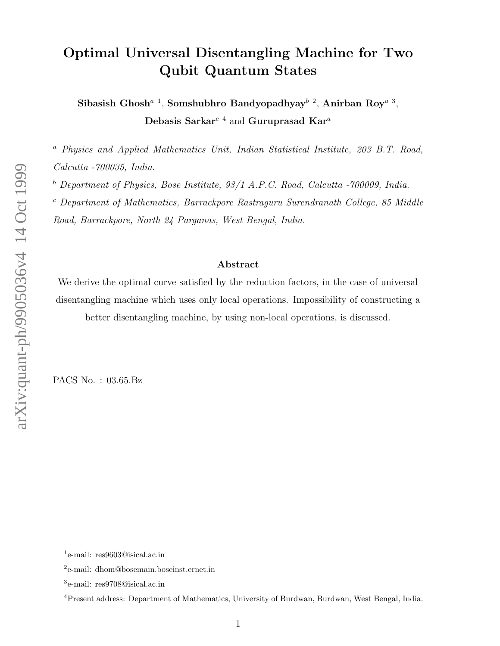## Optimal Universal Disentangling Machine for Two Qubit Quantum States

Sibasish Ghosh<sup>*a* 1</sup>, Somshubhro Bandyopadhyay<sup>b 2</sup>, Anirban Roy<sup>*a* 3</sup>, Debasis Sarkar<sup>c 4</sup> and Guruprasad Kar<sup>a</sup>

 $a$  Physics and Applied Mathematics Unit, Indian Statistical Institute, 203 B.T. Road, Calcutta -700035, India.

 $b$  Department of Physics, Bose Institute, 93/1 A.P.C. Road, Calcutta -700009, India.

 $c$  Department of Mathematics, Barrackpore Rastraguru Surendranath College, 85 Middle Road, Barrackpore, North 24 Parganas, West Bengal, India.

#### Abstract

We derive the optimal curve satisfied by the reduction factors, in the case of universal disentangling machine which uses only local operations. Impossibility of constructing a better disentangling machine, by using non-local operations, is discussed.

PACS No. : 03.65.Bz

<sup>&</sup>lt;sup>1</sup>e-mail: res9603@isical.ac.in

<sup>2</sup> e-mail: dhom@bosemain.boseinst.ernet.in

<sup>3</sup> e-mail: res9708@isical.ac.in

<sup>4</sup>Present address: Department of Mathematics, University of Burdwan, Burdwan, West Bengal, India.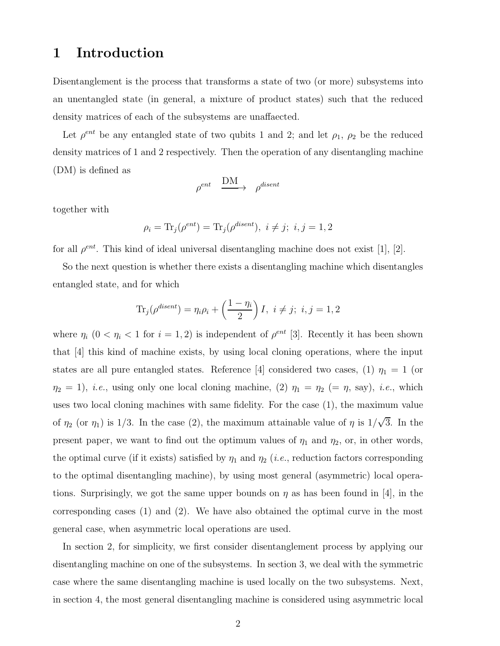### 1 Introduction

Disentanglement is the process that transforms a state of two (or more) subsystems into an unentangled state (in general, a mixture of product states) such that the reduced density matrices of each of the subsystems are unaffaected.

Let  $\rho^{ent}$  be any entangled state of two qubits 1 and 2; and let  $\rho_1$ ,  $\rho_2$  be the reduced density matrices of 1 and 2 respectively. Then the operation of any disentangling machine (DM) is defined as

$$
\rho^{ent} \quad \frac{\text{DM}}{\text{DM}} \quad \rho^{disent}
$$

together with

$$
\rho_i = \text{Tr}_j(\rho^{ent}) = \text{Tr}_j(\rho^{disent}), \ i \neq j; \ i, j = 1, 2
$$

for all  $\rho^{ent}$ . This kind of ideal universal disentangling machine does not exist [1], [2].

So the next question is whether there exists a disentangling machine which disentangles entangled state, and for which

$$
\text{Tr}_j(\rho^{disent}) = \eta_i \rho_i + \left(\frac{1 - \eta_i}{2}\right)I, \ i \neq j; \ i, j = 1, 2
$$

where  $\eta_i$  ( $0 < \eta_i < 1$  for  $i = 1, 2$ ) is independent of  $\rho^{ent}$  [3]. Recently it has been shown that [4] this kind of machine exists, by using local cloning operations, where the input states are all pure entangled states. Reference [4] considered two cases, (1)  $\eta_1 = 1$  (or  $\eta_2 = 1$ , *i.e.*, using only one local cloning machine, (2)  $\eta_1 = \eta_2$  (=  $\eta$ , say), *i.e.*, which uses two local cloning machines with same fidelity. For the case (1), the maximum value of  $\eta_2$  (or  $\eta_1$ ) is 1/3. In the case (2), the maximum attainable value of  $\eta$  is  $1/\sqrt{3}$ . In the present paper, we want to find out the optimum values of  $\eta_1$  and  $\eta_2$ , or, in other words, the optimal curve (if it exists) satisfied by  $\eta_1$  and  $\eta_2$  (*i.e.*, reduction factors corresponding to the optimal disentangling machine), by using most general (asymmetric) local operations. Surprisingly, we got the same upper bounds on  $\eta$  as has been found in [4], in the corresponding cases (1) and (2). We have also obtained the optimal curve in the most general case, when asymmetric local operations are used.

In section 2, for simplicity, we first consider disentanglement process by applying our disentangling machine on one of the subsystems. In section 3, we deal with the symmetric case where the same disentangling machine is used locally on the two subsystems. Next, in section 4, the most general disentangling machine is considered using asymmetric local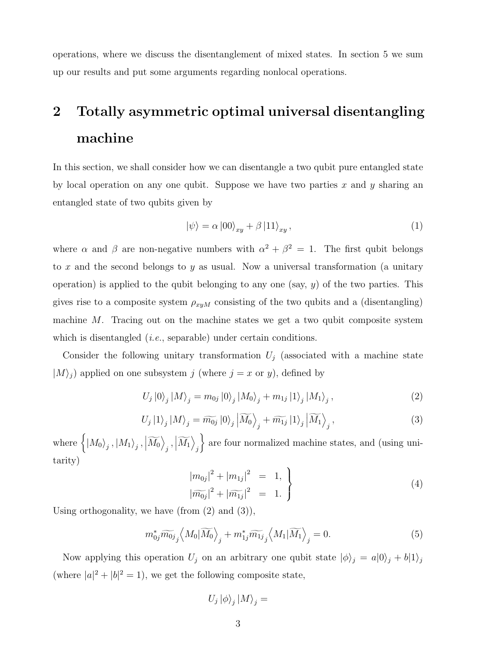operations, where we discuss the disentanglement of mixed states. In section 5 we sum up our results and put some arguments regarding nonlocal operations.

# 2 Totally asymmetric optimal universal disentangling machine

In this section, we shall consider how we can disentangle a two qubit pure entangled state by local operation on any one qubit. Suppose we have two parties x and  $\gamma$  sharing an entangled state of two qubits given by

$$
|\psi\rangle = \alpha \, |00\rangle_{xy} + \beta \, |11\rangle_{xy} \,, \tag{1}
$$

where  $\alpha$  and  $\beta$  are non-negative numbers with  $\alpha^2 + \beta^2 = 1$ . The first qubit belongs to x and the second belongs to y as usual. Now a universal transformation (a unitary operation) is applied to the qubit belonging to any one (say,  $y$ ) of the two parties. This gives rise to a composite system  $\rho_{xyM}$  consisting of the two qubits and a (disentangling) machine M. Tracing out on the machine states we get a two qubit composite system which is disentangled *(i.e.*, separable) under certain conditions.

Consider the following unitary transformation  $U_j$  (associated with a machine state  $|M\rangle_j$ ) applied on one subsystem j (where  $j = x$  or y), defined by

$$
U_{j}|0\rangle_{j}|M\rangle_{j} = m_{0j}|0\rangle_{j}|M_{0}\rangle_{j} + m_{1j}|1\rangle_{j}|M_{1}\rangle_{j},
$$
\n(2)

$$
U_j |1\rangle_j |M\rangle_j = \widetilde{m_{0j}} |0\rangle_j \left| \widetilde{M_0} \right\rangle_j + \widetilde{m_{1j}} |1\rangle_j \left| \widetilde{M_1} \right\rangle_j, \tag{3}
$$

where  $\left\{\ket{M_0}_j, \ket{M_1}_j, \left|\widetilde{M_0}\right> \right.$  $_{j},\left\vert \widetilde{M_{1}}\right\rangle$ j are four normalized machine states, and (using unitarity)

$$
\left| m_{0j} \right|^2 + \left| m_{1j} \right|^2 = 1, \n \left| \widetilde{m_{0j}} \right|^2 + \left| \widetilde{m_{1j}} \right|^2 = 1. \tag{4}
$$

Using orthogonality, we have (from  $(2)$  and  $(3)$ ),

$$
m_{0j}^* \widetilde{m_{0j}}_j \left\langle M_0 | \widetilde{M_0} \right\rangle_j + m_{1j}^* \widetilde{m_{1j}}_j \left\langle M_1 | \widetilde{M_1} \right\rangle_j = 0. \tag{5}
$$

Now applying this operation  $U_j$  on an arbitrary one qubit state  $|\phi\rangle_j = a|0\rangle_j + b|1\rangle_j$ (where  $|a|^2 + |b|^2 = 1$ ), we get the following composite state,

$$
U_j\left|\phi\right\rangle_j\left|M\right\rangle_j=
$$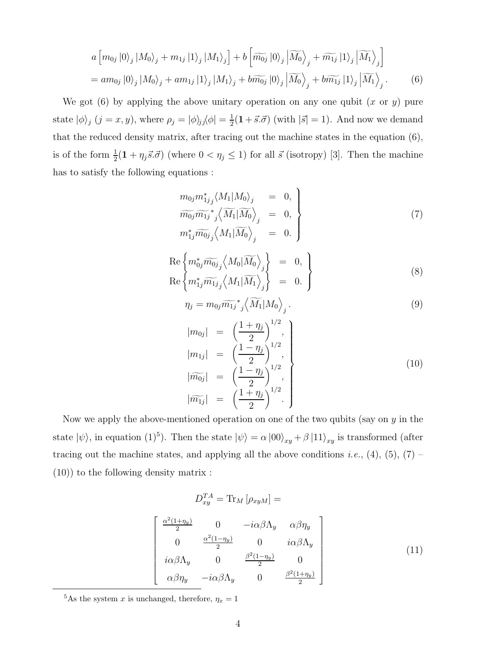$$
a\left[m_{0j}|0\rangle_{j}|M_{0}\rangle_{j} + m_{1j}|1\rangle_{j}|M_{1}\rangle_{j}\right] + b\left[\widetilde{m_{0j}}|0\rangle_{j}|\widetilde{M_{0}}\rangle_{j} + \widetilde{m_{1j}}|1\rangle_{j}|\widetilde{M_{1}}\rangle_{j}\right]
$$
  
=  $am_{0j}|0\rangle_{j}|M_{0}\rangle_{j} + am_{1j}|1\rangle_{j}|M_{1}\rangle_{j} + b\widetilde{m_{0j}}|0\rangle_{j}|\widetilde{M_{0}}\rangle_{j} + b\widetilde{m_{1j}}|1\rangle_{j}|\widetilde{M_{1}}\rangle_{j}.$  (6)

We got  $(6)$  by applying the above unitary operation on any one qubit  $(x \text{ or } y)$  pure state  $|\phi\rangle_j$   $(j = x, y)$ , where  $\rho_j = |\phi\rangle_j \langle \phi| = \frac{1}{2}$  $\frac{1}{2}(1+\vec{s}.\vec{\sigma})$  (with  $|\vec{s}|=1$ ). And now we demand that the reduced density matrix, after tracing out the machine states in the equation (6), is of the form  $\frac{1}{2}(1 + \eta_j \vec{s}.\vec{\sigma})$  (where  $0 < \eta_j \le 1$ ) for all  $\vec{s}$  (isotropy) [3]. Then the machine has to satisfy the following equations :

$$
m_{0j}m_{1j}^* \langle M_1|M_0 \rangle_j = 0,
$$
  
\n
$$
\widetilde{m_{0j}} \widetilde{m_{1j}}^* \langle \widetilde{M_1} | \widetilde{M_0} \rangle_j = 0,
$$
  
\n
$$
m_{1j}^* \widetilde{m_{0j}} \langle M_1 | \widetilde{M_0} \rangle_j = 0.
$$
\n(7)

$$
\begin{aligned}\n\operatorname{Re}\left\{ m_{0j}^* \widetilde{m_{0j}}_j \left\langle M_0 | \widetilde{M_0} \right\rangle_j \right\} &= 0, \\
\operatorname{Re}\left\{ m_{1j}^* \widetilde{m_{1j}}_j \left\langle M_1 | \widetilde{M_1} \right\rangle_j \right\} &= 0.\n\end{aligned}
$$
\n(8)

$$
\eta_j = m_{0j} \widetilde{m_{1j}}^* \left\langle \widetilde{M_1} | M_0 \right\rangle_j. \tag{9}
$$

$$
\begin{aligned}\n|m_{0j}| &= \left(\frac{1+\eta_j}{2}\right)^{1/2}, \\
|m_{1j}| &= \left(\frac{1-\eta_j}{2}\right)^{1/2}, \\
|\widetilde{m_{0j}}| &= \left(\frac{1-\eta_j}{2}\right)^{1/2}, \\
|\widetilde{m_{1j}}| &= \left(\frac{1+\eta_j}{2}\right)^{1/2}.\n\end{aligned} \tag{10}
$$

Now we apply the above-mentioned operation on one of the two qubits (say on  $y$  in the state  $|\psi\rangle$ , in equation (1)<sup>5</sup>). Then the state  $|\psi\rangle = \alpha |00\rangle_{xy} + \beta |11\rangle_{xy}$  is transformed (after tracing out the machine states, and applying all the above conditions *i.e.*, (4), (5), (7) – (10)) to the following density matrix :

$$
D_{xy}^{TA} = \text{Tr}_M \left[ \rho_{xyM} \right] =
$$
\n
$$
\begin{bmatrix}\n\frac{\alpha^2 (1 + \eta_y)}{2} & 0 & -i\alpha\beta\Lambda_y & \alpha\beta\eta_y \\
0 & \frac{\alpha^2 (1 - \eta_y)}{2} & 0 & i\alpha\beta\Lambda_y \\
i\alpha\beta\Lambda_y & 0 & \frac{\beta^2 (1 - \eta_y)}{2} & 0 \\
\alpha\beta\eta_y & -i\alpha\beta\Lambda_y & 0 & \frac{\beta^2 (1 + \eta_y)}{2}\n\end{bmatrix}
$$
\n(11)

<sup>5</sup>As the system x is unchanged, therefore,  $\eta_x = 1$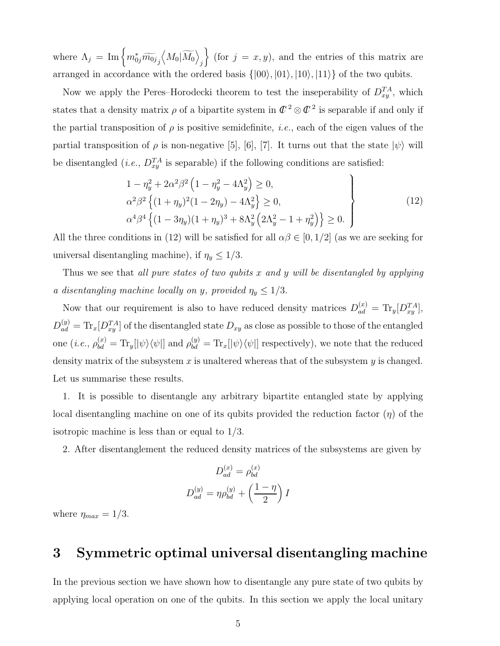where  $\Lambda_j = \text{Im} \left\{ m_{0j}^* \widetilde{m_{0j}}_j \right\}$  $\left\langle M_0 | \widetilde{M_0} \right\rangle$ j  $\left\{\right.$  (for  $j = x, y$ ), and the entries of this matrix are arranged in accordance with the ordered basis  $\{|00\rangle, |01\rangle, |10\rangle, |11\rangle\}$  of the two qubits.

Now we apply the Peres–Horodecki theorem to test the inseperability of  $D_{xy}^{TA}$ , which states that a density matrix  $\rho$  of a bipartite system in  $\mathbb{C}^2 \otimes \mathbb{C}^2$  is separable if and only if the partial transposition of  $\rho$  is positive semidefinite, *i.e.*, each of the eigen values of the partial transposition of  $\rho$  is non-negative [5], [6], [7]. It turns out that the state  $|\psi\rangle$  will be disentangled (*i.e.*,  $D_{xy}^{TA}$  is separable) if the following conditions are satisfied:

$$
1 - \eta_y^2 + 2\alpha^2 \beta^2 \left( 1 - \eta_y^2 - 4\Lambda_y^2 \right) \ge 0,
$$
  
\n
$$
\alpha^2 \beta^2 \left\{ (1 + \eta_y)^2 (1 - 2\eta_y) - 4\Lambda_y^2 \right\} \ge 0,
$$
  
\n
$$
\alpha^4 \beta^4 \left\{ (1 - 3\eta_y) (1 + \eta_y)^3 + 8\Lambda_y^2 \left( 2\Lambda_y^2 - 1 + \eta_y^2 \right) \right\} \ge 0.
$$
\n(12)

All the three conditions in (12) will be satisfied for all  $\alpha\beta \in [0,1/2]$  (as we are seeking for universal disentangling machine), if  $\eta_y \leq 1/3$ .

Thus we see that all pure states of two qubits x and y will be disentangled by applying a disentangling machine locally on y, provided  $\eta_y \leq 1/3$ .

Now that our requirement is also to have reduced density matrices  $D_{ad}^{(x)} = Tr_y[D_{xy}^{TA}],$  $D_{ad}^{(y)} = \text{Tr}_x[D_{xy}^{TA}]$  of the disentangled state  $D_{xy}$  as close as possible to those of the entangled one  $(i.e., \rho_{bd}^{(x)} = Tr_y[|\psi\rangle\langle\psi|]$  and  $\rho_{bd}^{(y)} = Tr_x[|\psi\rangle\langle\psi|]$  respectively), we note that the reduced density matrix of the subsystem x is unaltered whereas that of the subsystem  $y$  is changed. Let us summarise these results.

1. It is possible to disentangle any arbitrary bipartite entangled state by applying local disentangling machine on one of its qubits provided the reduction factor  $(\eta)$  of the isotropic machine is less than or equal to 1/3.

2. After disentanglement the reduced density matrices of the subsystems are given by

$$
D_{ad}^{(x)} = \rho_{bd}^{(x)}
$$

$$
D_{ad}^{(y)} = \eta \rho_{bd}^{(y)} + \left(\frac{1-\eta}{2}\right)I
$$

where  $\eta_{max} = 1/3$ .

#### 3 Symmetric optimal universal disentangling machine

In the previous section we have shown how to disentangle any pure state of two qubits by applying local operation on one of the qubits. In this section we apply the local unitary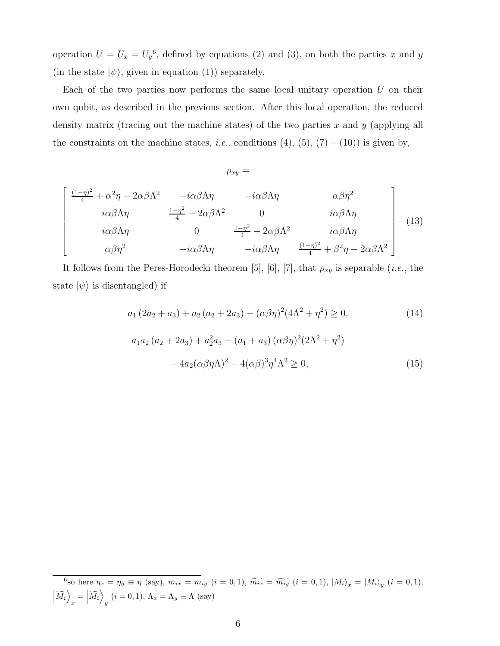operation  $U = U_x = U_y^6$ , defined by equations (2) and (3), on both the parties x and y (in the state  $|\psi\rangle$ , given in equation (1)) separately.

Each of the two parties now performs the same local unitary operation  $U$  on their own qubit, as described in the previous section. After this local operation, the reduced density matrix (tracing out the machine states) of the two parties  $x$  and  $y$  (applying all the constraints on the machine states, *i.e.*, conditions  $(4)$ ,  $(5)$ ,  $(7) - (10)$ ) is given by,

 $\rho_{xy} =$ 

$$
\begin{bmatrix}\n\frac{(1-\eta)^2}{4} + \alpha^2 \eta - 2\alpha\beta\Lambda^2 & -i\alpha\beta\Lambda\eta & -i\alpha\beta\Lambda\eta & \alpha\beta\eta^2 \\
i\alpha\beta\Lambda\eta & \frac{1-\eta^2}{4} + 2\alpha\beta\Lambda^2 & 0 & i\alpha\beta\Lambda\eta \\
i\alpha\beta\Lambda\eta & 0 & \frac{1-\eta^2}{4} + 2\alpha\beta\Lambda^2 & i\alpha\beta\Lambda\eta \\
\alpha\beta\eta^2 & -i\alpha\beta\Lambda\eta & -i\alpha\beta\Lambda\eta & \frac{(1-\eta)^2}{4} + \beta^2\eta - 2\alpha\beta\Lambda^2\n\end{bmatrix}
$$
\n(13)

It follows from the Peres-Horodecki theorem [5], [6], [7], that  $\rho_{xy}$  is separable (*i.e.*, the state  $|\psi\rangle$  is disentangled) if

$$
a_1 (2a_2 + a_3) + a_2 (a_2 + 2a_3) - (\alpha \beta \eta)^2 (4\Lambda^2 + \eta^2) \ge 0,
$$
\n
$$
a_1 a_2 (a_2 + 2a_3) + a_2^2 a_3 - (a_1 + a_3) (\alpha \beta \eta)^2 (2\Lambda^2 + \eta^2)
$$
\n(14)

$$
-4a_2(\alpha\beta\eta\Lambda)^2 - 4(\alpha\beta)^3\eta^4\Lambda^2 \ge 0,
$$
\n(15)

<sup>&</sup>lt;sup>6</sup>so here  $\eta_x = \eta_y \equiv \eta$  (say),  $m_{ix} = m_{iy}$  (i = 0, 1),  $\widetilde{m_{ix}} = \widetilde{m_{iy}}$  (i = 0, 1),  $|M_i\rangle_x = |M_i\rangle_y$  (i = 0, 1),  $\left\vert \widetilde{M}_{i}\right\rangle$  $\sum_{x} = \Big|\widetilde{M}_{i}\Big>$  $y_i$   $(i = 0, 1), \Lambda_x = \Lambda_y \equiv \Lambda$  (say)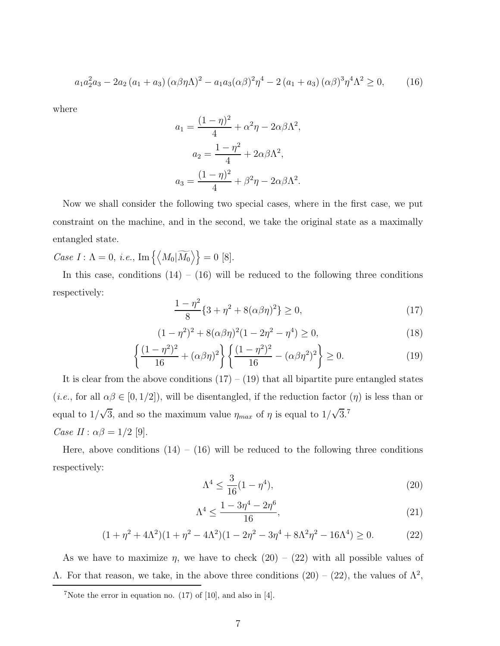$$
a_1 a_2^2 a_3 - 2a_2 (a_1 + a_3) (\alpha \beta \eta \Lambda)^2 - a_1 a_3 (\alpha \beta)^2 \eta^4 - 2 (a_1 + a_3) (\alpha \beta)^3 \eta^4 \Lambda^2 \ge 0,
$$
 (16)

where

$$
a_1 = \frac{(1-\eta)^2}{4} + \alpha^2 \eta - 2\alpha \beta \Lambda^2,
$$
  
\n
$$
a_2 = \frac{1-\eta^2}{4} + 2\alpha \beta \Lambda^2,
$$
  
\n
$$
a_3 = \frac{(1-\eta)^2}{4} + \beta^2 \eta - 2\alpha \beta \Lambda^2.
$$

Now we shall consider the following two special cases, where in the first case, we put constraint on the machine, and in the second, we take the original state as a maximally entangled state.

Case  $I : \Lambda = 0$ , i.e.,  $\text{Im}\left\{ \left\langle M_0 | \widetilde{M_0} \right\rangle \right\} = 0$  [8].

In this case, conditions  $(14) - (16)$  will be reduced to the following three conditions respectively:

$$
\frac{1-\eta^2}{8}\{3+\eta^2+8(\alpha\beta\eta)^2\}\geq 0,
$$
\n(17)

$$
(1 - \eta^2)^2 + 8(\alpha \beta \eta)^2 (1 - 2\eta^2 - \eta^4) \ge 0,
$$
\n(18)

$$
\left\{ \frac{(1-\eta^2)^2}{16} + (\alpha\beta\eta)^2 \right\} \left\{ \frac{(1-\eta^2)^2}{16} - (\alpha\beta\eta^2)^2 \right\} \ge 0.
$$
 (19)

It is clear from the above conditions  $(17) - (19)$  that all bipartite pure entangled states (*i.e.*, for all  $\alpha\beta \in [0, 1/2]$ ), will be disentangled, if the reduction factor  $(\eta)$  is less than or equal to  $1/\sqrt{3}$ , and so the maximum value  $\eta_{max}$  of  $\eta$  is equal to  $1/\sqrt{3}$ .<sup>7</sup> Case  $II: \alpha\beta = 1/2$  [9].

Here, above conditions  $(14) - (16)$  will be reduced to the following three conditions respectively:

$$
\Lambda^4 \le \frac{3}{16}(1 - \eta^4),\tag{20}
$$

$$
\Lambda^4 \le \frac{1 - 3\eta^4 - 2\eta^6}{16},\tag{21}
$$

$$
(1 + \eta^2 + 4\Lambda^2)(1 + \eta^2 - 4\Lambda^2)(1 - 2\eta^2 - 3\eta^4 + 8\Lambda^2\eta^2 - 16\Lambda^4) \ge 0.
$$
 (22)

As we have to maximize  $\eta$ , we have to check  $(20) - (22)$  with all possible values of Λ. For that reason, we take, in the above three conditions  $(20) - (22)$ , the values of  $Λ<sup>2</sup>$ ,

<sup>&</sup>lt;sup>7</sup>Note the error in equation no.  $(17)$  of [10], and also in [4].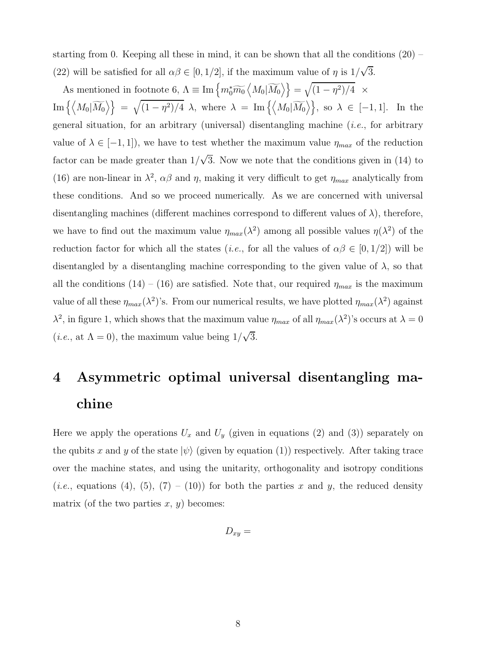starting from 0. Keeping all these in mind, it can be shown that all the conditions  $(20)$  – (22) will be satisfied for all  $\alpha\beta \in [0, 1/2]$ , if the maximum value of  $\eta$  is  $1/\sqrt{3}$ .

As mentioned in footnote 6,  $\Lambda \equiv \text{Im}\left\{m_0^*\widetilde{m_0}\left\langle M_0|\widetilde{M_0}\right\rangle\right\} = \sqrt{(1-\eta^2)/4} \ \ \times$  $\text{Im}\left\{\left\langle M_0|\widetilde{M_0}\right\rangle\right\} \;=\; \sqrt{(1-\eta^2)/4}\;\,\lambda,\,\,\text{where}\;\,\lambda\;=\; \text{Im}\left\{\left\langle M_0|\widetilde{M_0}\right\rangle\right\},\,\,\text{so}\;\,\lambda\;\in\;[-1,1].\;\,\,\text{In the}\,\,\,\lambda\in\mathbb{R}$ general situation, for an arbitrary (universal) disentangling machine  $(i.e.,$  for arbitrary value of  $\lambda \in [-1, 1]$ , we have to test whether the maximum value  $\eta_{max}$  of the reduction factor can be made greater than  $1/\sqrt{3}$ . Now we note that the conditions given in (14) to (16) are non-linear in  $\lambda^2$ ,  $\alpha\beta$  and  $\eta$ , making it very difficult to get  $\eta_{max}$  analytically from these conditions. And so we proceed numerically. As we are concerned with universal disentangling machines (different machines correspond to different values of  $\lambda$ ), therefore, we have to find out the maximum value  $\eta_{max}(\lambda^2)$  among all possible values  $\eta(\lambda^2)$  of the reduction factor for which all the states (*i.e.*, for all the values of  $\alpha\beta \in [0, 1/2]$ ) will be disentangled by a disentangling machine corresponding to the given value of  $\lambda$ , so that all the conditions  $(14) - (16)$  are satisfied. Note that, our required  $\eta_{max}$  is the maximum value of all these  $\eta_{max}(\lambda^2)$ 's. From our numerical results, we have plotted  $\eta_{max}(\lambda^2)$  against  $\lambda^2$ , in figure 1, which shows that the maximum value  $\eta_{max}$  of all  $\eta_{max}(\lambda^2)$ 's occurs at  $\lambda = 0$ (*i.e.*, at  $\Lambda = 0$ ), the maximum value being  $1/\sqrt{3}$ .

## 4 Asymmetric optimal universal disentangling machine

Here we apply the operations  $U_x$  and  $U_y$  (given in equations (2) and (3)) separately on the qubits x and y of the state  $|\psi\rangle$  (given by equation (1)) respectively. After taking trace over the machine states, and using the unitarity, orthogonality and isotropy conditions (*i.e.*, equations (4), (5), (7) – (10)) for both the parties x and y, the reduced density matrix (of the two parties  $x, y$ ) becomes:

$$
D_{xy} =
$$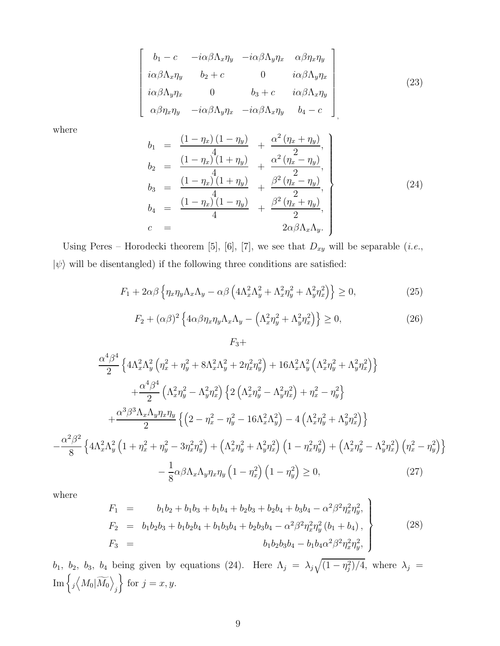$$
\begin{bmatrix}\n b_1 - c & -i\alpha\beta\Lambda_x\eta_y & -i\alpha\beta\Lambda_y\eta_x & \alpha\beta\eta_x\eta_y \\
 i\alpha\beta\Lambda_x\eta_y & b_2 + c & 0 & i\alpha\beta\Lambda_y\eta_x \\
 i\alpha\beta\Lambda_y\eta_x & 0 & b_3 + c & i\alpha\beta\Lambda_x\eta_y \\
 \alpha\beta\eta_x\eta_y & -i\alpha\beta\Lambda_y\eta_x & -i\alpha\beta\Lambda_x\eta_y & b_4 - c\n \end{bmatrix}
$$
\n
$$
(23)
$$

where

 $\sqrt{ }$  $\mathbf{I}$  $\overline{1}$  $\overline{1}$  $\overline{1}$  $\mathbf{I}$  $\overline{1}$  $\overline{1}$  $\overline{1}$  $\overline{1}$ 

$$
b_{1} = \frac{(1 - \eta_{x})(1 - \eta_{y})}{4} + \frac{\alpha^{2}(\eta_{x} + \eta_{y})}{2},
$$
  
\n
$$
b_{2} = \frac{(1 - \eta_{x})(1 + \eta_{y})}{4} + \frac{\alpha^{2}(\eta_{x} - \eta_{y})}{2},
$$
  
\n
$$
b_{3} = \frac{(1 - \eta_{x})(1 + \eta_{y})}{4} + \frac{\beta^{2}(\eta_{x} - \eta_{y})}{2},
$$
  
\n
$$
b_{4} = \frac{(1 - \eta_{x})(1 - \eta_{y})}{4} + \frac{\beta^{2}(\eta_{x} + \eta_{y})}{2},
$$
  
\n
$$
c = 2\alpha\beta\Lambda_{x}\Lambda_{y}.
$$
\n(24)

Using Peres – Horodecki theorem [5], [6], [7], we see that  $D_{xy}$  will be separable (*i.e.*,  $|\psi\rangle$  will be disentangled) if the following three conditions are satisfied:

 $F_3+$ 

$$
F_1 + 2\alpha\beta \left\{ \eta_x \eta_y \Lambda_x \Lambda_y - \alpha\beta \left( 4\Lambda_x^2 \Lambda_y^2 + \Lambda_x^2 \eta_y^2 + \Lambda_y^2 \eta_x^2 \right) \right\} \ge 0,
$$
\n(25)

$$
F_2 + (\alpha \beta)^2 \left\{ 4\alpha \beta \eta_x \eta_y \Lambda_x \Lambda_y - \left( \Lambda_x^2 \eta_y^2 + \Lambda_y^2 \eta_x^2 \right) \right\} \ge 0,
$$
\n(26)

$$
\frac{\alpha^{4}\beta^{4}}{2} \left\{ 4\Lambda_{x}^{2}\Lambda_{y}^{2} \left( \eta_{x}^{2} + \eta_{y}^{2} + 8\Lambda_{x}^{2}\Lambda_{y}^{2} + 2\eta_{x}^{2}\eta_{y}^{2} \right) + 16\Lambda_{x}^{2}\Lambda_{y}^{2} \left( \Lambda_{x}^{2}\eta_{y}^{2} + \Lambda_{y}^{2}\eta_{x}^{2} \right) \right\} \n+ \frac{\alpha^{4}\beta^{4}}{2} \left( \Lambda_{x}^{2}\eta_{y}^{2} - \Lambda_{y}^{2}\eta_{x}^{2} \right) \left\{ 2\left( \Lambda_{x}^{2}\eta_{y}^{2} - \Lambda_{y}^{2}\eta_{x}^{2} \right) + \eta_{x}^{2} - \eta_{y}^{2} \right\} \n+ \frac{\alpha^{3}\beta^{3}\Lambda_{x}\Lambda_{y}\eta_{x}\eta_{y}}{2} \left\{ \left( 2 - \eta_{x}^{2} - \eta_{y}^{2} - 16\Lambda_{x}^{2}\Lambda_{y}^{2} \right) - 4\left( \Lambda_{x}^{2}\eta_{y}^{2} + \Lambda_{y}^{2}\eta_{x}^{2} \right) \right\} \n+ \frac{\alpha^{2}\beta^{2}}{8} \left\{ 4\Lambda_{x}^{2}\Lambda_{y}^{2} \left( 1 + \eta_{x}^{2} + \eta_{y}^{2} - 3\eta_{x}^{2}\eta_{y}^{2} \right) + \left( \Lambda_{x}^{2}\eta_{y}^{2} + \Lambda_{y}^{2}\eta_{x}^{2} \right) \left( 1 - \eta_{x}^{2}\eta_{y}^{2} \right) + \left( \Lambda_{x}^{2}\eta_{y}^{2} - \Lambda_{y}^{2}\eta_{x}^{2} \right) \left( \eta_{x}^{2} - \eta_{y}^{2} \right) \right\} \n- \frac{1}{8} \alpha \beta \Lambda_{x}\Lambda_{y}\eta_{x}\eta_{y} \left( 1 - \eta_{x}^{2} \right) \left( 1 - \eta_{y}^{2} \right) \geq 0, \tag{27}
$$

where

−

$$
F_1 = b_1b_2 + b_1b_3 + b_1b_4 + b_2b_3 + b_2b_4 + b_3b_4 - \alpha^2\beta^2\eta_x^2\eta_y^2,
$$
  
\n
$$
F_2 = b_1b_2b_3 + b_1b_2b_4 + b_1b_3b_4 + b_2b_3b_4 - \alpha^2\beta^2\eta_x^2\eta_y^2(b_1 + b_4),
$$
  
\n
$$
F_3 = b_1b_2b_3b_4 - b_1b_4\alpha^2\beta^2\eta_x^2\eta_y^2,
$$
\n(28)

b<sub>1</sub>, b<sub>2</sub>, b<sub>3</sub>, b<sub>4</sub> being given by equations (24). Here  $\Lambda_j = \lambda_j \sqrt{(1 - \eta_j^2)/4}$ , where  $\lambda_j =$  $\mathrm{Im}\left\lbrace\jmath\Big\langle M_0\vert\widetilde{M_0}\right\rangle$ j  $\}$  for  $j = x, y$ .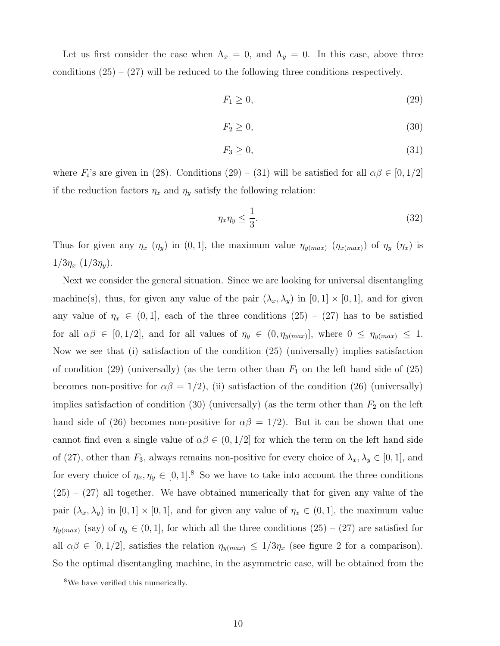Let us first consider the case when  $\Lambda_x = 0$ , and  $\Lambda_y = 0$ . In this case, above three conditions  $(25) - (27)$  will be reduced to the following three conditions respectively.

$$
F_1 \ge 0,\tag{29}
$$

$$
F_2 \ge 0,\tag{30}
$$

$$
F_3 \ge 0,\tag{31}
$$

where  $F_i$ 's are given in (28). Conditions (29) – (31) will be satisfied for all  $\alpha\beta \in [0, 1/2]$ if the reduction factors  $\eta_x$  and  $\eta_y$  satisfy the following relation:

$$
\eta_x \eta_y \le \frac{1}{3}.\tag{32}
$$

Thus for given any  $\eta_x$  ( $\eta_y$ ) in (0, 1], the maximum value  $\eta_{y(max)}$  ( $\eta_{x(max)}$ ) of  $\eta_y$  ( $\eta_x$ ) is  $1/3\eta_x(1/3\eta_y)$ .

Next we consider the general situation. Since we are looking for universal disentangling machine(s), thus, for given any value of the pair  $(\lambda_x, \lambda_y)$  in  $[0, 1] \times [0, 1]$ , and for given any value of  $\eta_x \in (0,1]$ , each of the three conditions  $(25) - (27)$  has to be satisfied for all  $\alpha\beta \in [0, 1/2]$ , and for all values of  $\eta_y \in (0, \eta_{y(max)}]$ , where  $0 \leq \eta_{y(max)} \leq 1$ . Now we see that (i) satisfaction of the condition (25) (universally) implies satisfaction of condition (29) (universally) (as the term other than  $F_1$  on the left hand side of (25) becomes non-positive for  $\alpha\beta = 1/2$ ), (ii) satisfaction of the condition (26) (universally) implies satisfaction of condition  $(30)$  (universally) (as the term other than  $F_2$  on the left hand side of (26) becomes non-positive for  $\alpha\beta = 1/2$ ). But it can be shown that one cannot find even a single value of  $\alpha\beta \in (0,1/2]$  for which the term on the left hand side of (27), other than  $F_3$ , always remains non-positive for every choice of  $\lambda_x, \lambda_y \in [0, 1]$ , and for every choice of  $\eta_x, \eta_y \in [0, 1]^8$ . So we have to take into account the three conditions  $(25) - (27)$  all together. We have obtained numerically that for given any value of the pair  $(\lambda_x, \lambda_y)$  in  $[0, 1] \times [0, 1]$ , and for given any value of  $\eta_x \in (0, 1]$ , the maximum value  $\eta_{y(max)}$  (say) of  $\eta_y \in (0, 1]$ , for which all the three conditions  $(25) - (27)$  are satisfied for all  $\alpha\beta \in [0, 1/2]$ , satisfies the relation  $\eta_{y(max)} \leq 1/3\eta_x$  (see figure 2 for a comparison). So the optimal disentangling machine, in the asymmetric case, will be obtained from the

<sup>8</sup>We have verified this numerically.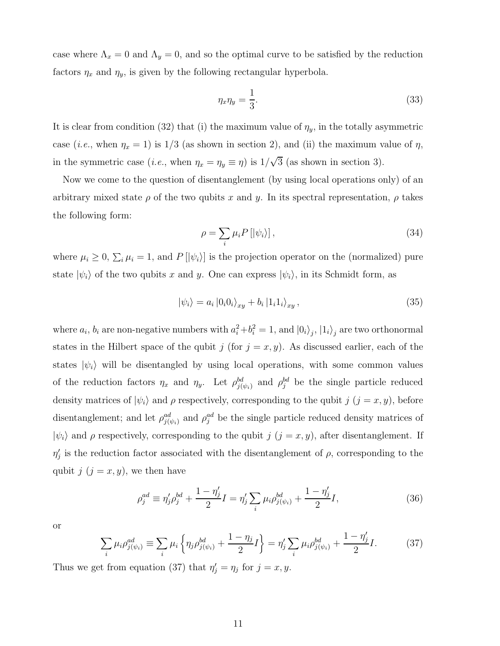case where  $\Lambda_x = 0$  and  $\Lambda_y = 0$ , and so the optimal curve to be satisfied by the reduction factors  $\eta_x$  and  $\eta_y$ , is given by the following rectangular hyperbola.

$$
\eta_x \eta_y = \frac{1}{3}.\tag{33}
$$

It is clear from condition (32) that (i) the maximum value of  $\eta_y$ , in the totally asymmetric case (*i.e.*, when  $\eta_x = 1$ ) is  $1/3$  (as shown in section 2), and (ii) the maximum value of  $\eta$ , in the symmetric case (*i.e.*, when  $\eta_x = \eta_y \equiv \eta$ ) is  $1/\sqrt{3}$  (as shown in section 3).

Now we come to the question of disentanglement (by using local operations only) of an arbitrary mixed state  $\rho$  of the two qubits x and y. In its spectral representation,  $\rho$  takes the following form:

$$
\rho = \sum_{i} \mu_i P \left[ |\psi_i \rangle \right],\tag{34}
$$

where  $\mu_i \geq 0$ ,  $\sum_i \mu_i = 1$ , and  $P[\ket{\psi_i}]$  is the projection operator on the (normalized) pure state  $|\psi_i\rangle$  of the two qubits x and y. One can express  $|\psi_i\rangle$ , in its Schmidt form, as

$$
|\psi_i\rangle = a_i |0_i 0_i\rangle_{xy} + b_i |1_i 1_i\rangle_{xy}, \qquad (35)
$$

where  $a_i$ ,  $b_i$  are non-negative numbers with  $a_i^2 + b_i^2 = 1$ , and  $|0_i\rangle_j$ ,  $|1_i\rangle_j$  are two orthonormal states in the Hilbert space of the qubit j (for  $j = x, y$ ). As discussed earlier, each of the states  $|\psi_i\rangle$  will be disentangled by using local operations, with some common values of the reduction factors  $\eta_x$  and  $\eta_y$ . Let  $\rho_{j(\psi_i)}^{bd}$  and  $\rho_j^{bd}$  be the single particle reduced density matrices of  $|\psi_i\rangle$  and  $\rho$  respectively, corresponding to the qubit  $j$   $(j = x, y)$ , before disentanglement; and let  $\rho_{j(\psi_i)}^{ad}$  and  $\rho_j^{ad}$  be the single particle reduced density matrices of  $|\psi_i\rangle$  and  $\rho$  respectively, corresponding to the qubit j  $(j = x, y)$ , after disentanglement. If  $\eta'_{j}$  is the reduction factor associated with the disentanglement of  $\rho$ , corresponding to the qubit  $j$   $(j = x, y)$ , we then have

$$
\rho_j^{ad} \equiv \eta_j' \rho_j^{bd} + \frac{1 - \eta_j'}{2} I = \eta_j' \sum_i \mu_i \rho_{j(\psi_i)}^{bd} + \frac{1 - \eta_j'}{2} I,\tag{36}
$$

or

$$
\sum_{i} \mu_{i} \rho_{j(\psi_{i})}^{ad} \equiv \sum_{i} \mu_{i} \left\{ \eta_{j} \rho_{j(\psi_{i})}^{bd} + \frac{1 - \eta_{j}}{2} I \right\} = \eta_{j}' \sum_{i} \mu_{i} \rho_{j(\psi_{i})}^{bd} + \frac{1 - \eta_{j}'}{2} I. \tag{37}
$$

Thus we get from equation (37) that  $\eta'_j = \eta_j$  for  $j = x, y$ .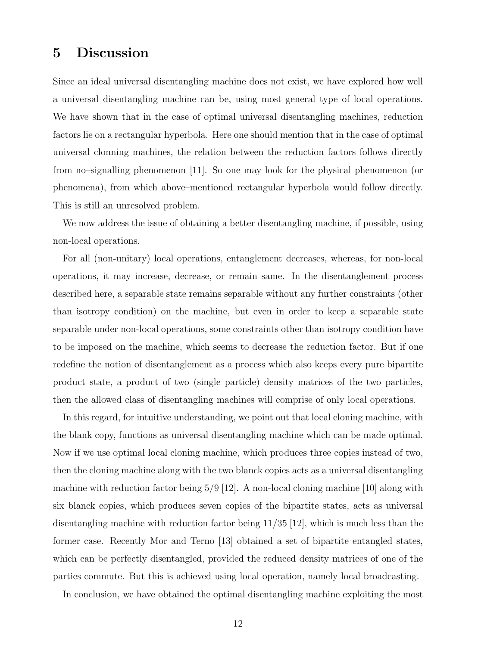### 5 Discussion

Since an ideal universal disentangling machine does not exist, we have explored how well a universal disentangling machine can be, using most general type of local operations. We have shown that in the case of optimal universal disentangling machines, reduction factors lie on a rectangular hyperbola. Here one should mention that in the case of optimal universal clonning machines, the relation between the reduction factors follows directly from no–signalling phenomenon [11]. So one may look for the physical phenomenon (or phenomena), from which above–mentioned rectangular hyperbola would follow directly. This is still an unresolved problem.

We now address the issue of obtaining a better disentangling machine, if possible, using non-local operations.

For all (non-unitary) local operations, entanglement decreases, whereas, for non-local operations, it may increase, decrease, or remain same. In the disentanglement process described here, a separable state remains separable without any further constraints (other than isotropy condition) on the machine, but even in order to keep a separable state separable under non-local operations, some constraints other than isotropy condition have to be imposed on the machine, which seems to decrease the reduction factor. But if one redefine the notion of disentanglement as a process which also keeps every pure bipartite product state, a product of two (single particle) density matrices of the two particles, then the allowed class of disentangling machines will comprise of only local operations.

In this regard, for intuitive understanding, we point out that local cloning machine, with the blank copy, functions as universal disentangling machine which can be made optimal. Now if we use optimal local cloning machine, which produces three copies instead of two, then the cloning machine along with the two blanck copies acts as a universal disentangling machine with reduction factor being  $5/9$  [12]. A non-local cloning machine [10] along with six blanck copies, which produces seven copies of the bipartite states, acts as universal disentangling machine with reduction factor being 11/35 [12], which is much less than the former case. Recently Mor and Terno [13] obtained a set of bipartite entangled states, which can be perfectly disentangled, provided the reduced density matrices of one of the parties commute. But this is achieved using local operation, namely local broadcasting.

In conclusion, we have obtained the optimal disentangling machine exploiting the most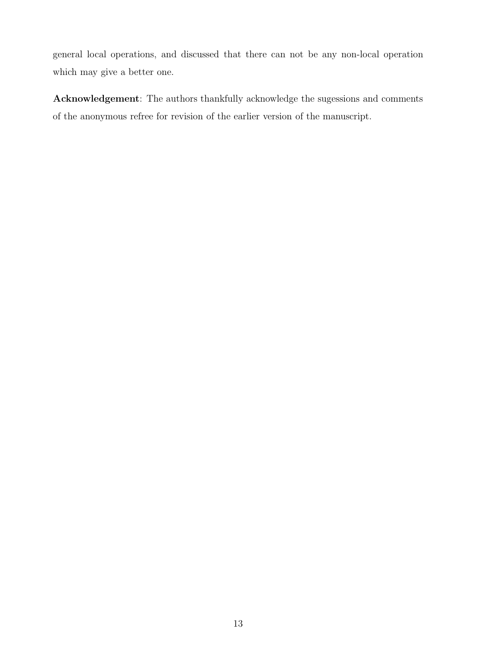general local operations, and discussed that there can not be any non-local operation which may give a better one.

Acknowledgement: The authors thankfully acknowledge the sugessions and comments of the anonymous refree for revision of the earlier version of the manuscript.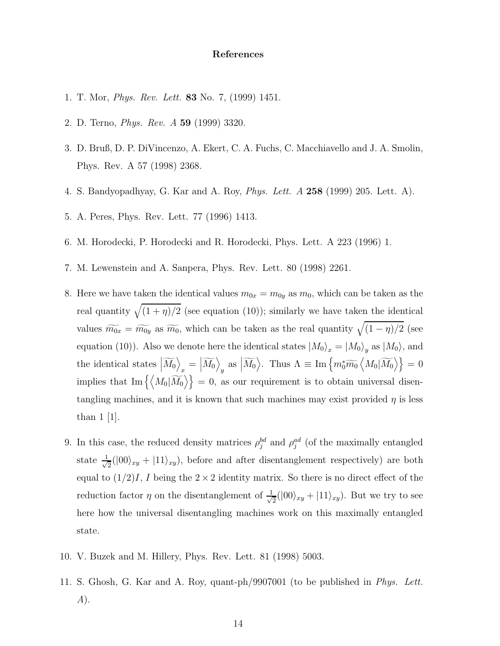#### References

- 1. T. Mor, Phys. Rev. Lett. 83 No. 7, (1999) 1451.
- 2. D. Terno, Phys. Rev. A 59 (1999) 3320.
- 3. D. Bruß, D. P. DiVincenzo, A. Ekert, C. A. Fuchs, C. Macchiavello and J. A. Smolin, Phys. Rev. A 57 (1998) 2368.
- 4. S. Bandyopadhyay, G. Kar and A. Roy, Phys. Lett. A 258 (1999) 205. Lett. A).
- 5. A. Peres, Phys. Rev. Lett. 77 (1996) 1413.
- 6. M. Horodecki, P. Horodecki and R. Horodecki, Phys. Lett. A 223 (1996) 1.
- 7. M. Lewenstein and A. Sanpera, Phys. Rev. Lett. 80 (1998) 2261.
- 8. Here we have taken the identical values  $m_{0x} = m_{0y}$  as  $m_0$ , which can be taken as the real quantity  $\sqrt{(1 + \eta)/2}$  (see equation (10)); similarly we have taken the identical values  $\widetilde{m_{0x}} = \widetilde{m_{0y}}$  as  $\widetilde{m_0}$ , which can be taken as the real quantity  $\sqrt{(1 - \eta)/2}$  (see equation (10)). Also we denote here the identical states  $\ket{M_0}_x = \ket{M_0}_y$  as  $\ket{M_0}$ , and the identical states  $\left|\widetilde{M_0}\right\rangle$  $\sum_{x} = \left\vert \widetilde{M_{0}}\right\rangle$  $\lim_{y}$  as  $\left| \widetilde{M_0} \right\rangle$ . Thus  $\Lambda \equiv \text{Im}\left\{ m_0^* \widetilde{m_0} \left\langle M_0 | \widetilde{M_0} \right\rangle \right\} = 0$ implies that  $\text{Im}\left\{\langle M_0|\widetilde{M_0}\rangle\right\} = 0$ , as our requirement is to obtain universal disentangling machines, and it is known that such machines may exist provided  $\eta$  is less than 1 [1].
- 9. In this case, the reduced density matrices  $\rho_j^{bd}$  and  $\rho_j^{ad}$  (of the maximally entangled state  $\frac{1}{\sqrt{2}}$  $\frac{1}{2}(|00\rangle_{xy} + |11\rangle_{xy})$ , before and after disentanglement respectively) are both equal to  $(1/2)I$ , I being the  $2 \times 2$  identity matrix. So there is no direct effect of the reduction factor  $\eta$  on the disentanglement of  $\frac{1}{\sqrt{2}}$  $\frac{1}{2}(|00\rangle_{xy}+|11\rangle_{xy})$ . But we try to see here how the universal disentangling machines work on this maximally entangled state.
- 10. V. Buzek and M. Hillery, Phys. Rev. Lett. 81 (1998) 5003.
- 11. S. Ghosh, G. Kar and A. Roy, quant-ph/9907001 (to be published in Phys. Lett. A).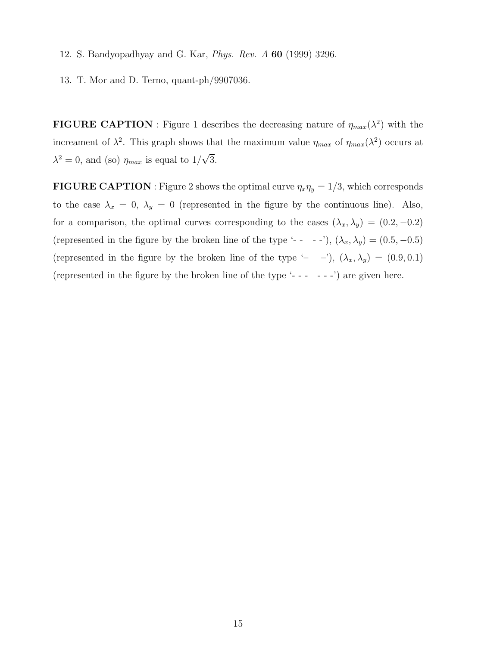- 12. S. Bandyopadhyay and G. Kar, Phys. Rev. A 60 (1999) 3296.
- 13. T. Mor and D. Terno, quant-ph/9907036.

**FIGURE CAPTION**: Figure 1 describes the decreasing nature of  $\eta_{max}(\lambda^2)$  with the increament of  $\lambda^2$ . This graph shows that the maximum value  $\eta_{max}$  of  $\eta_{max}(\lambda^2)$  occurs at  $\lambda^2 = 0$ , and (so)  $\eta_{max}$  is equal to  $1/\sqrt{3}$ .

**FIGURE CAPTION**: Figure 2 shows the optimal curve  $\eta_x \eta_y = 1/3$ , which corresponds to the case  $\lambda_x = 0$ ,  $\lambda_y = 0$  (represented in the figure by the continuous line). Also, for a comparison, the optimal curves corresponding to the cases  $(\lambda_x, \lambda_y) = (0.2, -0.2)$ (represented in the figure by the broken line of the type '- - -'),  $(\lambda_x, \lambda_y) = (0.5, -0.5)$ (represented in the figure by the broken line of the type '– –'),  $(\lambda_x, \lambda_y) = (0.9, 0.1)$ (represented in the figure by the broken line of the type '- - - - - -') are given here.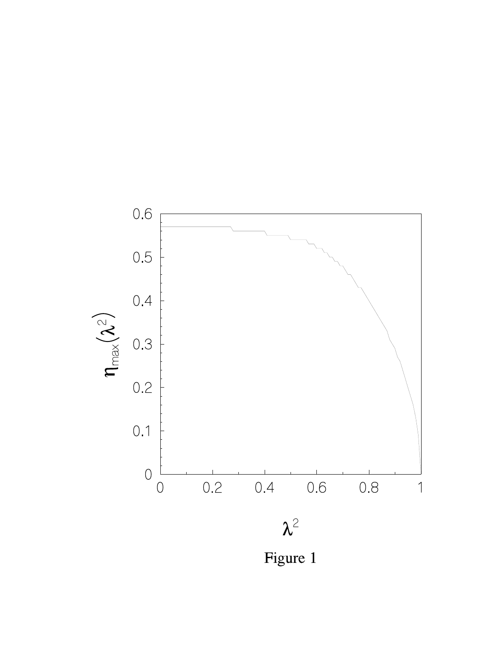

Figure 1